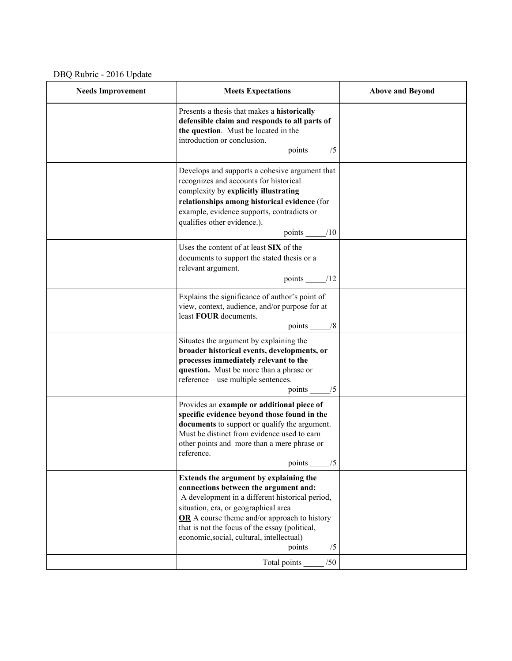DBQ Rubric - 2016 Update

| <b>Needs Improvement</b> | <b>Meets Expectations</b>                                                                                                                                                                                                                                                                                                                       | <b>Above and Beyond</b> |
|--------------------------|-------------------------------------------------------------------------------------------------------------------------------------------------------------------------------------------------------------------------------------------------------------------------------------------------------------------------------------------------|-------------------------|
|                          | Presents a thesis that makes a historically<br>defensible claim and responds to all parts of<br>the question. Must be located in the<br>introduction or conclusion.<br>points $\_\_\$ {5}                                                                                                                                                       |                         |
|                          | Develops and supports a cohesive argument that<br>recognizes and accounts for historical<br>complexity by explicitly illustrating<br>relationships among historical evidence (for<br>example, evidence supports, contradicts or<br>qualifies other evidence.).<br>points $\_\_\_\$ /10                                                          |                         |
|                          | Uses the content of at least SIX of the<br>documents to support the stated thesis or a<br>relevant argument.<br>points $\frac{1}{2}$                                                                                                                                                                                                            |                         |
|                          | Explains the significance of author's point of<br>view, context, audience, and/or purpose for at<br>least FOUR documents.<br>points ______/8                                                                                                                                                                                                    |                         |
|                          | Situates the argument by explaining the<br>broader historical events, developments, or<br>processes immediately relevant to the<br>question. Must be more than a phrase or<br>reference – use multiple sentences.<br>points $\_\_\_\$ /5                                                                                                        |                         |
|                          | Provides an example or additional piece of<br>specific evidence beyond those found in the<br>documents to support or qualify the argument.<br>Must be distinct from evidence used to earn<br>other points and more than a mere phrase or<br>reference.<br>points $\frac{1}{5}$                                                                  |                         |
|                          | Extends the argument by explaining the<br>connections between the argument and:<br>A development in a different historical period,<br>situation, era, or geographical area<br>OR A course theme and/or approach to history<br>that is not the focus of the essay (political,<br>economic, social, cultural, intellectual)<br>points $\_\_\_\/5$ |                         |
|                          | Total points _______ /50                                                                                                                                                                                                                                                                                                                        |                         |